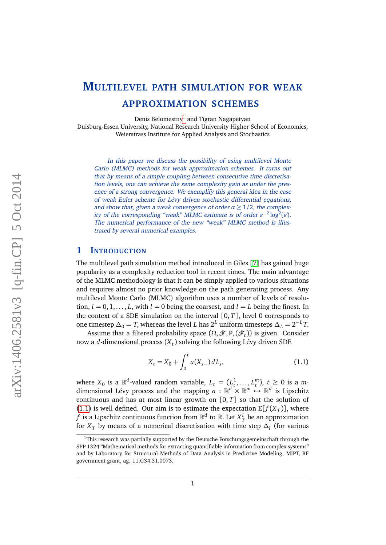# **MULTILEVEL PATH SIMULATION FOR WEAK APPROXIMATION SCHEMES**

Denis Belomestny<sup>[1](#page-0-0)</sup> and Tigran Nagapetyan Duisburg-Essen University, National Research University Higher School of Economics, Weierstrass Institute for Applied Analysis and Stochastics

In this paper we discuss the possibility of using multilevel Monte Carlo (MLMC) methods for weak approximation schemes. It turns out that by means of a simple coupling between consecutive time discretisation levels, one can achieve the same complexity gain as under the presence of a strong convergence. We exemplify this general idea in the case of weak Euler scheme for Lévy driven stochastic differential equations, and show that, given a weak convergence of order  $\alpha \geq 1/2$ , the complexity of the corresponding "weak" MLMC estimate is of order  $\varepsilon^{-2} \log^2(\varepsilon)$ . The numerical performance of the new "weak" MLMC method is illustrated by several numerical examples.

# **1 INTRODUCTION**

The multilevel path simulation method introduced in Giles [[7](#page-22-0)] has gained huge popularity as a complexity reduction tool in recent times. The main advantage of the MLMC methodology is that it can be simply applied to various situations and requires almost no prior knowledge on the path generating process. Any multilevel Monte Carlo (MLMC) algorithm uses a number of levels of resolution,  $l = 0, 1, \ldots, L$ , with  $l = 0$  being the coarsest, and  $l = L$  being the finest. In the context of a SDE simulation on the interval  $[0, T]$ , level 0 corresponds to one timestep  $\Delta_0 = T$ , whereas the level *L* has  $2^L$  uniform timesteps  $\Delta_L = 2^{-L}T$ .

Assume that a filtered probability space  $(\Omega, \mathscr{F}, P, (\mathscr{F}_t))$  is given. Consider now a *d*-dimensional process (*X<sup>t</sup>* ) solving the following Lévy driven SDE

<span id="page-0-1"></span>
$$
X_t = X_0 + \int_0^t a(X_{s-}) dL_s, \tag{1.1}
$$

where  $X_0$  is a  $\mathbb{R}^d$ -valued random variable,  $L_t = (L_t^1, \ldots, L_t^m)$ ,  $t \geq 0$  is a *m*dimensional Lévy process and the mapping  $a : \mathbb{R}^d \times \mathbb{R}^m \to \mathbb{R}^d$  is Lipschitz continuous and has at most linear growth on  $[0, T]$  so that the solution of [\(1.1\)](#page-0-1) is well defined. Our aim is to estimate the expectation  $E[f(X_T)]$ , where  $f$  is a Lipschitz continuous function from  $\mathbb{R}^d$  to  $\mathbb{R}.$  Let  $X^l_T$  be an approximation for  $X_T$  by means of a numerical discretisation with time step  $\Delta_l$  (for various

<span id="page-0-0"></span> $1$ This research was partially supported by the Deutsche Forschungsgemeinschaft through the SPP 1324 "Mathematical methods for extracting quantifiable information from complex systems" and by Laboratory for Structural Methods of Data Analysis in Predictive Modeling, MIPT, RF government grant, ag. 11.G34.31.0073.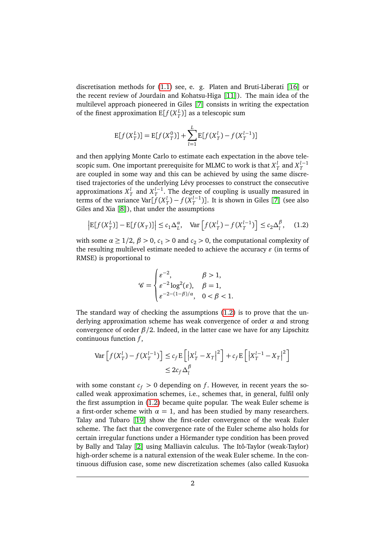discretisation methods for [\(1.1\)](#page-0-1) see, e. g. Platen and Bruti-Liberati [[16](#page-22-1)] or the recent review of Jourdain and Kohatsu-Higa [[11](#page-22-2)]). The main idea of the multilevel approach pioneered in Giles [[7](#page-22-0)] consists in writing the expectation of the finest approximation  $E[f(X_T^L)]$  as a telescopic sum

$$
E[f(X_T^L)] = E[f(X_T^0)] + \sum_{l=1}^{L} E[f(X_T^l) - f(X_T^{l-1})]
$$

and then applying Monte Carlo to estimate each expectation in the above telescopic sum. One important prerequisite for MLMC to work is that  $X_T^l$  and  $X_T^{l-1}$ are coupled in some way and this can be achieved by using the same discretised trajectories of the underlying Lévy processes to construct the consecutive approximations  $X_T^l$  and  $X_T^{l-1}$ . The degree of coupling is usually measured in terms of the variance  $\text{Var}[f(X_T^l) - f(X_T^{l-1})]$ . It is shown in Giles [[7](#page-22-0)] (see also Giles and Xia [[8](#page-22-3)]), that under the assumptions

<span id="page-1-0"></span>
$$
\left| \mathbb{E}[f(X_T^L)] - \mathbb{E}[f(X_T)] \right| \le c_1 \Delta_L^{\alpha}, \quad \text{Var}\left[f(X_T^l) - f(X_T^{l-1})\right] \le c_2 \Delta_l^{\beta}, \quad (1.2)
$$

with some  $\alpha \geq 1/2$ ,  $\beta > 0$ ,  $c_1 > 0$  and  $c_2 > 0$ , the computational complexity of the resulting multilevel estimate needed to achieve the accuracy  $\varepsilon$  (in terms of RMSE) is proportional to

$$
\mathscr{C} = \begin{cases} \varepsilon^{-2}, & \beta > 1, \\ \varepsilon^{-2} \log^2(\varepsilon), & \beta = 1, \\ \varepsilon^{-2 - (1 - \beta)/\alpha}, & 0 < \beta < 1. \end{cases}
$$

The standard way of checking the assumptions [\(1.2\)](#page-1-0) is to prove that the underlying approximation scheme has weak convergence of order *α* and strong convergence of order *β/*2. Indeed, in the latter case we have for any Lipschitz continuous function *f* ,

$$
\operatorname{Var}\left[f(X_T^l) - f(X_T^{l-1})\right] \le c_f \mathbb{E}\left[\left|X_T^l - X_T\right|^2\right] + c_f \mathbb{E}\left[\left|X_T^{l-1} - X_T\right|^2\right] \le 2c_f \Delta_l^{\beta}
$$

with some constant  $c_f > 0$  depending on *f*. However, in recent years the socalled weak approximation schemes, i.e., schemes that, in general, fulfil only the first assumption in [\(1.2\)](#page-1-0) became quite popular. The weak Euler scheme is a first-order scheme with  $\alpha = 1$ , and has been studied by many researchers. Talay and Tubaro [[19](#page-23-0)] show the first-order convergence of the weak Euler scheme. The fact that the convergence rate of the Euler scheme also holds for certain irregular functions under a Hörmander type condition has been proved by Bally and Talay [[2](#page-21-0)] using Malliavin calculus. The Itô-Taylor (weak-Taylor) high-order scheme is a natural extension of the weak Euler scheme. In the continuous diffusion case, some new discretization schemes (also called Kusuoka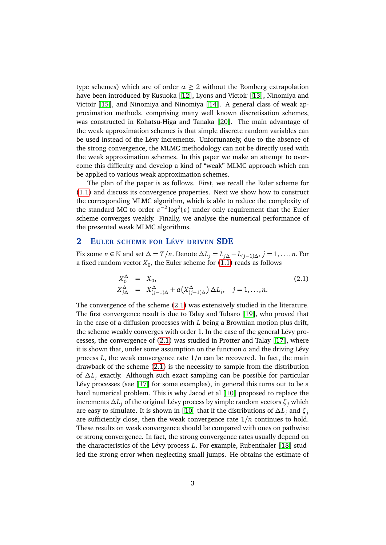type schemes) which are of order  $\alpha \geq 2$  without the Romberg extrapolation have been introduced by Kusuoka [[12](#page-22-4)], Lyons and Victoir [[13](#page-22-5)], Ninomiya and Victoir [[15](#page-22-6)], and Ninomiya and Ninomiya [[14](#page-22-7)]. A general class of weak approximation methods, comprising many well known discretisation schemes, was constructed in Kohatsu-Higa and Tanaka [[20](#page-23-1)]. The main advantage of the weak approximation schemes is that simple discrete random variables can be used instead of the Lévy increments. Unfortunately, due to the absence of the strong convergence, the MLMC methodology can not be directly used with the weak approximation schemes. In this paper we make an attempt to overcome this difficulty and develop a kind of "weak" MLMC approach which can be applied to various weak approximation schemes.

The plan of the paper is as follows. First, we recall the Euler scheme for [\(1.1\)](#page-0-1) and discuss its convergence properties. Next we show how to construct the corresponding MLMC algorithm, which is able to reduce the complexity of the standard MC to order  $\varepsilon^{-2} \log^2(\varepsilon)$  under only requirement that the Euler scheme converges weakly. Finally, we analyse the numerical performance of the presented weak MLMC algorithms.

# **2 EULER SCHEME FOR LÉVY DRIVEN SDE**

Fix some  $n \in \mathbb{N}$  and set  $\Delta = T/n$ . Denote  $\Delta L_j = L_{j\Delta} - L_{(j-1)\Delta}$ ,  $j = 1, \ldots, n$ . For a fixed random vector  $X_0$ , the Euler scheme for  $(1.1)$  reads as follows

<span id="page-2-0"></span>
$$
X_0^{\Delta} = X_0,
$$
  
\n
$$
X_{j\Delta}^{\Delta} = X_{(j-1)\Delta}^{\Delta} + a(X_{(j-1)\Delta}^{\Delta}) \Delta L_j, \quad j = 1, ..., n.
$$
\n(2.1)

The convergence of the scheme [\(2.1\)](#page-2-0) was extensively studied in the literature. The first convergence result is due to Talay and Tubaro [[19](#page-23-0)], who proved that in the case of a diffusion processes with *L* being a Brownian motion plus drift, the scheme weakly converges with order 1. In the case of the general Lévy processes, the convergence of [\(2.1\)](#page-2-0) was studied in Protter and Talay [[17](#page-22-8)], where it is shown that, under some assumption on the function *a* and the driving Lévy process  $L$ , the weak convergence rate  $1/n$  can be recovered. In fact, the main drawback of the scheme [\(2.1\)](#page-2-0) is the necessity to sample from the distribution of ∆*L<sup>j</sup>* exactly. Although such exact sampling can be possible for particular Lévy processes (see [[17](#page-22-8)] for some examples), in general this turns out to be a hard numerical problem. This is why Jacod et al [[10](#page-22-9)] proposed to replace the increments ∆*L<sup>j</sup>* of the original Lévy process by simple random vectors *ζ<sup>j</sup>* which are easy to simulate. It is shown in [[10](#page-22-9)] that if the distributions of  $\Delta L_i$  and  $\zeta_i$ are sufficiently close, then the weak convergence rate 1*/n* continues to hold. These results on weak convergence should be compared with ones on pathwise or strong convergence. In fact, the strong convergence rates usually depend on the characteristics of the Lévy process *L*. For example, Rubenthaler [[18](#page-23-2)] studied the strong error when neglecting small jumps. He obtains the estimate of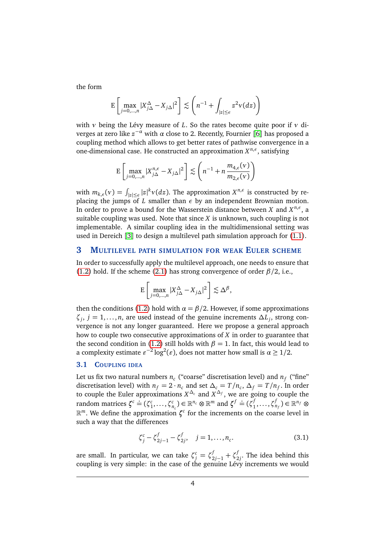the form

$$
\mathsf{E}\left[\max_{j=0,\dots,n}|X_{j\Delta}^{\Delta}-X_{j\Delta}|^{2}\right] \lesssim \left(n^{-1}+\int_{|z|\leq\epsilon}z^{2}\nu(dz)\right)
$$

with *ν* being the Lévy measure of *L*. So the rates become quite poor if *ν* diverges at zero like  $z^{-\alpha}$  with  $\alpha$  close to 2. Recently, Fournier [[6](#page-22-10)] has proposed a coupling method which allows to get better rates of pathwise convergence in a one-dimensional case. He constructed an approximation *X n*,*ε* , satisfying

$$
\mathbb{E}\left[\max_{j=0,\dots,n}|X_{j\Delta}^{n,\epsilon}-X_{j\Delta}|^2\right] \lesssim \left(n^{-1}+n\frac{m_{4,\epsilon}(\nu)}{m_{2,\epsilon}(\nu)}\right)
$$

with  $m_{k,\epsilon}(v) = \int_{|z| \le \epsilon} |z|^k v(dz)$ . The approximation  $X^{n,\epsilon}$  is constructed by replacing the jumps of *L* smaller than *ε* by an independent Brownian motion. In order to prove a bound for the Wasserstein distance between *X* and  $X^{n,\epsilon}$ , a suitable coupling was used. Note that since *X* is unknown, such coupling is not implementable. A similar coupling idea in the multidimensional setting was used in Dereich [[3](#page-21-1)] to design a multilevel path simulation approach for [\(1.1\)](#page-0-1).

# **3 MULTILEVEL PATH SIMULATION FOR WEAK EULER SCHEME**

In order to successfully apply the multilevel approach, one needs to ensure that [\(1.2\)](#page-1-0) hold. If the scheme [\(2.1\)](#page-2-0) has strong convergence of order *β/*2, i.e.,

$$
\mathbf{E}\left[\max_{j=0,\dots,n}|X_{j\Delta}^{\Delta}-X_{j\Delta}|^2\right] \lesssim \Delta^{\beta},
$$

then the conditions [\(1.2\)](#page-1-0) hold with  $\alpha = \beta/2$ . However, if some approximations  $\zeta_j$ ,  $j = 1, \ldots, n$ , are used instead of the genuine increments  $\Delta L_j$ , strong convergence is not any longer guaranteed. Here we propose a general approach how to couple two consecutive approximations of *X* in order to guarantee that the second condition in [\(1.2\)](#page-1-0) still holds with  $\beta = 1$ . In fact, this would lead to a complexity estimate  $\varepsilon^{-2} \log^2(\varepsilon)$ , does not matter how small is  $\alpha \geq 1/2$ .

## **3.1 COUPLING IDEA**

Let us fix two natural numbers  $n_c$  ("coarse" discretisation level) and  $n_f$  ("fine" discretisation level) with  $n_f = 2 \cdot n_c$  and set  $\Delta_c = T/n_c$ ,  $\Delta_f = T/n_f$ . In order to couple the Euler approximations  $X^{\Delta_c}$  and  $X^{\Delta_f}$ , we are going to couple the random matrices  $\zeta^c \doteq (\zeta_1^c, \dots, \zeta_{n_c}^c) \in \mathbb{R}^{n_c} \otimes \mathbb{R}^m$  and  $\zeta^f \doteq (\zeta_1^f)$  $\{f_1,\ldots,\zeta_{n_f}^f\} \in \mathbb{R}^{n_f}$  ⊗ R *<sup>m</sup>*. We define the approximation *ζ c* for the increments on the coarse level in such a way that the differences

$$
\zeta_j^c - \zeta_{2j-1}^f - \zeta_{2j}^f, \quad j = 1, \dots, n_c.
$$
 (3.1)

are small. In particular, we can take  $\zeta_j^c = \zeta_{2j-1}^f + \zeta_2^f$  $y_2^{\prime}$ . The idea behind this coupling is very simple: in the case of the genuine Lévy increments we would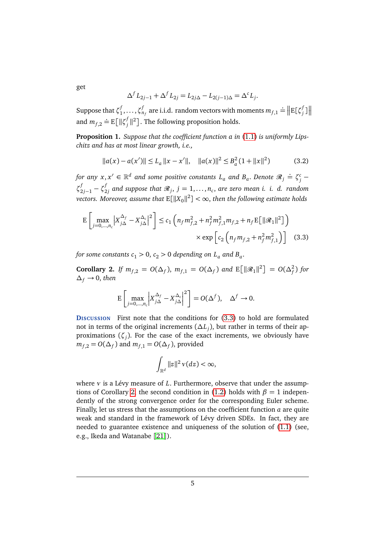$$
\Delta^{f} L_{2j-1} + \Delta^{f} L_{2j} = L_{2j\Delta} - L_{2(j-1)\Delta} = \Delta^{c} L_{j}.
$$

Suppose that *ζ f*  $\mathcal{I}_{1}^{f}, \ldots, \mathcal{I}_{n_{f}}^{f}$  are i.i.d. random vectors with moments  $m_{f,1} =$  $\stackrel{\scriptscriptstyle \perp}{=} \Big\Vert E[\zeta_j^f]$  $\int\limits_j^f$ ] $\big\|$ and  $m_{f,2} \doteq E \left[ \left\| \zeta_j^f \right\| \right]$  $\int\limits_{j}^{t}||^{2}$ ]. The following proposition holds.

<span id="page-4-2"></span>**Proposition 1.** *Suppose that the coefficient function a in* [\(1.1\)](#page-0-1) *is uniformly Lipschitz and has at most linear growth, i.e.,*

$$
||a(x) - a(x')|| \le L_a ||x - x'||, \quad ||a(x)||^2 \le B_a^2 (1 + ||x||^2)
$$
 (3.2)

 $f$ *or* any  $x, x' \in \mathbb{R}^d$  and some positive constants  $L_a$  and  $B_a$ . Denote  $\mathscr{R}_j \doteq \zeta_j^c - \zeta_j^c$  $\zeta_{2j-1}^f - \zeta_2^f$  $\mathcal{L}^{f}_{2j}$  and suppose that  $\mathscr{R}_{j},\ j=1,\ldots,n_{c},$  are zero mean i. i. d. random  $vectors.$  Moreover, assume that  $\mathrm{E}[\|X_0\|^2]<\infty,$  then the following estimate holds

$$
\mathbb{E}\left[\max_{j=0,\dots,n_c} \left| X_{j\Delta}^{\Delta_f} - X_{j\Delta}^{\Delta_c} \right|^2 \right] \le c_1 \left( n_f m_{f,2}^2 + n_f^2 m_{f,1}^2 m_{f,2} + n_f \mathbb{E}\left[ \|\mathcal{R}_1\|^2 \right] \right) \times \exp\left[ c_2 \left( n_f m_{f,2} + n_f^2 m_{f,1}^2 \right) \right] \tag{3.3}
$$

*for some constants*  $c_1 > 0$ *,*  $c_2 > 0$  *depending on*  $L_a$  *and*  $B_a$ *.* 

<span id="page-4-1"></span>**Corollary 2.** *If*  $m_{f,2} = O(\Delta_f)$ ,  $m_{f,1} = O(\Delta_f)$  and  $E[\|\mathcal{R}_1\|^2] = O(\Delta_f^2)$  for  $\Delta_f \rightarrow 0$ , *then* 

<span id="page-4-0"></span>
$$
\mathrm{E}\left[\max_{j=0,\dots,n_c}\left|X_{j\Delta}^{\Delta_f}-X_{j\Delta}^{\Delta_c}\right|^2\right]=O(\Delta^f),\quad \Delta^f\to 0.
$$

**DISCUSSION** First note that the conditions for [\(3.3\)](#page-4-0) to hold are formulated not in terms of the original increments (∆*L<sup>j</sup>* ), but rather in terms of their approximations (*ζ<sup>j</sup>* ). For the case of the exact increments, we obviously have  $m_{f,2} = O(\Delta_f)$  and  $m_{f,1} = O(\Delta_f)$ , provided

$$
\int_{\mathbb{R}^d} ||z||^2 \nu(dz) < \infty,
$$

where *ν* is a Lévy measure of *L*. Furthermore, observe that under the assump-tions of Corollary [2,](#page-4-1) the second condition in [\(1.2\)](#page-1-0) holds with  $\beta = 1$  independently of the strong convergence order for the corresponding Euler scheme. Finally, let us stress that the assumptions on the coefficient function *a* are quite weak and standard in the framework of Lévy driven SDEs. In fact, they are needed to guarantee existence and uniqueness of the solution of [\(1.1\)](#page-0-1) (see, e.g., Ikeda and Watanabe [[21](#page-23-3)]).

get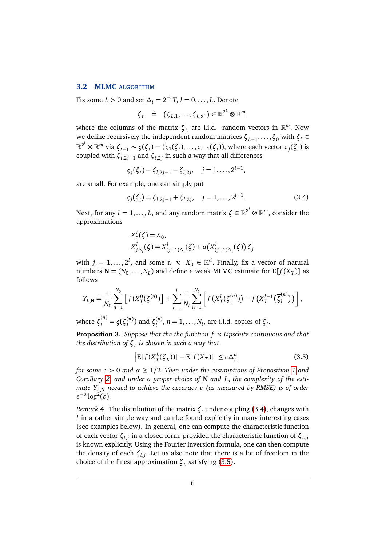#### <span id="page-5-2"></span>**3.2 MLMC ALGORITHM**

Fix some  $L > 0$  and set  $\Delta_l = 2^{-l}T, l = 0, \ldots, L$ . Denote

$$
\boldsymbol{\zeta}_L \ \doteq \ \ (\boldsymbol{\zeta}_{L,1},\ldots,\boldsymbol{\zeta}_{L,2^L}) \in \mathbb{R}^{2^L} \otimes \mathbb{R}^m,
$$

where the columns of the matrix  $\zeta_L$  are i.i.d. random vectors in  $\mathbb{R}^m$ . Now  $\mathbf{v}$  *we define recursively the independent random matrices*  $\boldsymbol{\zeta}_{L-1}, \ldots, \boldsymbol{\zeta}_0$  with  $\boldsymbol{\zeta}_l$  ∈  $\mathbb{R}^{2^l}\otimes\mathbb{R}^m$  via  $\pmb{\zeta}_{l-1}\thicksim\pmb{\zeta}(\pmb{\zeta}_l) = (\zeta_1(\pmb{\zeta}_l),\ldots,\zeta_{l-1}(\pmb{\zeta}_l)),$  where each vector  $\zeta_j(\pmb{\zeta}_l)$  is coupled with *ζl*,2*j*−<sup>1</sup> and *ζl*,2*<sup>j</sup>* in such a way that all differences

$$
\zeta_j(\zeta_l) - \zeta_{l,2j-1} - \zeta_{l,2j}, \quad j = 1, ..., 2^{l-1},
$$

are small. For example, one can simply put

<span id="page-5-0"></span>
$$
\varsigma_j(\zeta_l) = \zeta_{l,2j-1} + \zeta_{l,2j}, \quad j = 1, \dots, 2^{l-1}.
$$
 (3.4)

Next, for any  $l=1,\ldots,L,$  and any random matrix  $\boldsymbol{\zeta}\in\mathbb{R}^{2^{l}}\otimes\mathbb{R}^{m},$  consider the approximations

$$
X_0^l(\zeta) = X_0,
$$
  
\n
$$
X_{j\Delta_l}^l(\zeta) = X_{(j-1)\Delta_l}^l(\zeta) + a(X_{(j-1)\Delta_l}^l(\zeta)) \zeta_j
$$

with  $j = 1, ..., 2^l$ , and some r. v.  $X_0 \in \mathbb{R}^d$ . Finally, fix a vector of natural numbers  $\mathbf{N} = (N_0, \ldots, N_L)$  and define a weak MLMC estimate for  $\mathbb{E}[f(X_T)]$  as follows

$$
Y_{L,N} \doteq \frac{1}{N_0} \sum_{n=1}^{N_0} \left[ f(X_T^0(\zeta^{(n)}) \right] + \sum_{l=1}^L \frac{1}{N_l} \sum_{n=1}^{N_l} \left[ f(X_T^l(\zeta_l^{(n)})) - f(X_T^{l-1}(\overline{\zeta}_l^{(n)})) \right],
$$

where  $\overline{\zeta}_l^{(n)} = \varsigma(\zeta_l^{(n)})$ *l* **)** and *ζ* (*n*)  $l_l^{(n)}$ , *n* = 1,...,*N*<sub>*l*</sub>, are i.i.d. copies of ζ<sub>*l*</sub>.

**Proposition 3.** *Suppose that the the function f is Lipschitz continuous and that the distribution of ζ<sup>L</sup> is chosen in such a way that*

<span id="page-5-1"></span>
$$
\left| \mathbb{E}[f(X_T^L(\zeta_L))] - \mathbb{E}[f(X_T)] \right| \le c\Delta_L^{\alpha} \tag{3.5}
$$

*for some c >* 0 *and α* ≥ 1*/*2. *Then under the assumptions of Proposition [1](#page-4-2) and Corollary [2,](#page-4-1) and under a proper choice of* **N** *and L*, *the complexity of the estimate*  $Y_{L,N}$  *needed to achieve the accuracy*  $\varepsilon$  (as measured by RMSE) is of order  $\varepsilon^{-2} \log^2(\varepsilon)$ .

*Remark* 4. The distribution of the matrix  $\boldsymbol{\zeta}_{l}$  under coupling [\(3.4\)](#page-5-0), changes with *l* in a rather simple way and can be found explicitly in many interesting cases (see examples below). In general, one can compute the characteristic function of each vector *ζl*,*<sup>j</sup>* in a closed form, provided the characteristic function of *ζL*,*<sup>j</sup>* is known explicitly. Using the Fourier inversion formula, one can then compute the density of each *ζl*,*<sup>j</sup>* . Let us also note that there is a lot of freedom in the choice of the finest approximation *ζ<sup>L</sup>* satisfying [\(3.5\)](#page-5-1).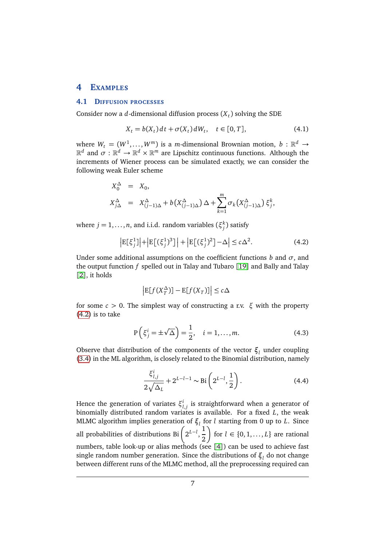## <span id="page-6-2"></span>**4 EXAMPLES**

#### <span id="page-6-1"></span>**4.1 DIFFUSION PROCESSES**

Consider now a *d*-dimensional diffusion process  $(X_t)$  solving the SDE

<span id="page-6-3"></span>
$$
X_t = b(X_t)dt + \sigma(X_t)dW_t, \quad t \in [0, T],
$$
\n(4.1)

where  $W_t = (W^1, \ldots, W^m)$  is a *m*-dimensional Brownian motion,  $b : \mathbb{R}^d \to$  $\mathbb{R}^d$  and  $\sigma:\mathbb{R}^d\to\mathbb{R}^d\times\mathbb{R}^m$  are Lipschitz continuous functions. Although the increments of Wiener process can be simulated exactly, we can consider the following weak Euler scheme

$$
X_0^{\Delta} = X_0,
$$
  
\n
$$
X_{j\Delta}^{\Delta} = X_{(j-1)\Delta}^{\Delta} + b(X_{(j-1)\Delta}^{\Delta})\Delta + \sum_{k=1}^{m} \sigma_k(X_{(j-1)\Delta}^{\Delta}) \xi_j^k,
$$

where  $j = 1, \ldots, n$ , and i.i.d. random variables  $(\xi_j^k)$  satisfy

<span id="page-6-0"></span>
$$
\left| \mathbf{E}[\xi_j^1] \right| + \left| \mathbf{E}[(\xi_j^1)^3] \right| + \left| \mathbf{E}[(\xi_j^1)^2] - \Delta \right| \le c\Delta^2.
$$
 (4.2)

Under some additional assumptions on the coefficient functions *b* and  $\sigma$ , and the output function *f* spelled out in Talay and Tubaro [[19](#page-23-0)] and Bally and Talay [[2](#page-21-0)], it holds

$$
\left| \mathbb{E}[f(X_T^{\Delta})] - \mathbb{E}[f(X_T)] \right| \le c\Delta
$$

for some *c >* 0. The simplest way of constructing a r.v. *ξ* with the property [\(4.2\)](#page-6-0) is to take

$$
P\left(\xi_j^i = \pm \sqrt{\Delta}\right) = \frac{1}{2}, \quad i = 1, \dots, m. \tag{4.3}
$$

Observe that distribution of the components of the vector *ξ<sup>l</sup>* under coupling [\(3.4\)](#page-5-0) in the ML algorithm, is closely related to the Binomial distribution, namely

<span id="page-6-4"></span>
$$
\frac{\xi_{l,j}^{i}}{2\sqrt{\Delta_{L}}} + 2^{L-l-1} \sim \text{Bi}\left(2^{L-l}, \frac{1}{2}\right). \tag{4.4}
$$

Hence the generation of variates *ξ i l*,*j* is straightforward when a generator of binomially distributed random variates is available. For a fixed *L*, the weak MLMC algorithm implies generation of  $ξ<sub>l</sub>$  for *l* starting from 0 up to *L*. Since all probabilities of distributions Bi 2 *L*−*l* , 1 2 for  $l \in \{0, 1, \ldots, L\}$  are rational numbers, table look-up or alias methods (see [[4](#page-21-2)]) can be used to achieve fast single random number generation. Since the distributions of *ξ<sup>l</sup>* do not change between different runs of the MLMC method, all the preprocessing required can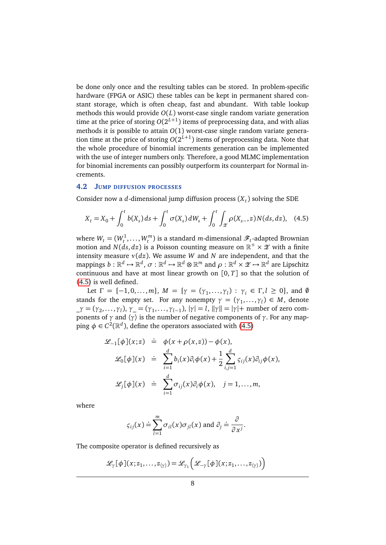be done only once and the resulting tables can be stored. In problem-specific hardware (FPGA or ASIC) these tables can be kept in permanent shared constant storage, which is often cheap, fast and abundant. With table lookup methods this would provide *O*(*L*) worst-case single random variate generation time at the price of storing  $O(2^{L+1})$  items of preprocessing data, and with alias methods it is possible to attain *O*(1) worst-case single random variate generation time at the price of storing  $O(2^{L+1})$  items of preprocessing data. Note that the whole procedure of binomial increments generation can be implemented with the use of integer numbers only. Therefore, a good MLMC implementation for binomial increments can possibly outperform its counterpart for Normal increments.

## <span id="page-7-1"></span>**4.2 JUMP DIFFUSION PROCESSES**

Consider now a *d*-dimensional jump diffusion process (*X<sup>t</sup>* ) solving the SDE

<span id="page-7-0"></span>
$$
X_t = X_0 + \int_0^t b(X_s) \, ds + \int_0^t \sigma(X_s) \, dW_s + \int_0^t \int_{\mathcal{X}} \rho(X_{s-}, z) \, N(ds, dz), \quad (4.5)
$$

where  $W_t = (W_t^1, \dots, W_t^m)$  is a standard *m*-dimensional  $\mathscr{F}_t$ -adapted Brownian motion and  $N(ds,dz)$  is a Poisson counting measure on  $\mathbb{R}^+ \times \mathscr{Z}$  with a finite intensity measure *ν*(*dz*). We assume *W* and *N* are independent, and that the  $\mathfrak{m}$ appings  $b:\mathbb{R}^d\mapsto\mathbb{R}^d,$   $\sigma:\mathbb{R}^d\mapsto\mathbb{R}^d\otimes\mathbb{R}^m$  and  $\rho:\mathbb{R}^d\times\mathscr{Z}\mapsto\mathbb{R}^d$  are Lipschitz continuous and have at most linear growth on [0, *T*] so that the solution of [\(4.5\)](#page-7-0) is well defined.

Let  $\Gamma = \{-1, 0, ..., m\}$ ,  $M = \{\gamma = (\gamma_1, ..., \gamma_l) : \gamma_i \in \Gamma, l \ge 0\}$ , and  $\emptyset$ stands for the empty set. For any nonempty  $\gamma = (\gamma_1, \dots, \gamma_l) \in M$ , denote  $\gamma = (\gamma_2, \dots, \gamma_l), \gamma = (\gamma_1, \dots, \gamma_{l-1}), |\gamma| = l, ||\gamma|| = |\gamma| + \text{number of zero com-}$ ponents of  $\gamma$  and  $\langle \gamma \rangle$  is the number of negative components of  $\gamma$ . For any mapping  $\phi \in C^2(\mathbb{R}^d)$ , define the operators associated with [\(4.5\)](#page-7-0)

$$
\mathcal{L}_{-1}[\phi](x; z) \doteq \phi(x + \rho(x, z)) - \phi(x),
$$
  

$$
\mathcal{L}_{0}[\phi](x) \doteq \sum_{i=1}^{d} b_{i}(x)\partial_{i}\phi(x) + \frac{1}{2}\sum_{i,j=1}^{d} \varsigma_{ij}(x)\partial_{ij}\phi(x),
$$
  

$$
\mathcal{L}_{j}[\phi](x) \doteq \sum_{i=1}^{d} \sigma_{ij}(x)\partial_{i}\phi(x), \quad j = 1, ..., m,
$$

where

$$
\varsigma_{ij}(x) \doteq \sum_{l=1}^m \sigma_{il}(x) \sigma_{jl}(x) \text{ and } \partial_j \doteq \frac{\partial}{\partial x^j}.
$$

The composite operator is defined recursively as

$$
\mathscr{L}_{\gamma}[\phi](x; z_1,\ldots,z_{\langle \gamma \rangle}) = \mathscr{L}_{\gamma_1}\Big(\mathscr{L}_{-\gamma}[\phi](x; z_1,\ldots,z_{\langle \gamma \rangle})\Big)
$$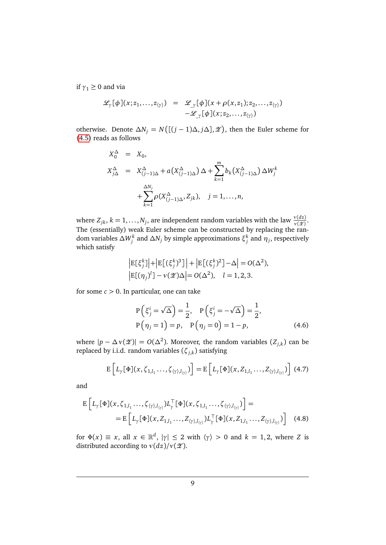if  $\gamma_1 \geq 0$  and via

$$
\mathcal{L}_{\gamma}[\phi](x; z_1,\ldots,z_{\langle \gamma \rangle}) = \mathcal{L}_{\gamma}[\phi](x+\rho(x,z_1); z_2,\ldots,z_{\langle \gamma \rangle})
$$
  
-
$$
\mathcal{L}_{\gamma}[\phi](x; z_2,\ldots,z_{\langle \gamma \rangle})
$$

otherwise. Denote  $\Delta N_j = N\left(\left[\frac{j-1}{\Delta}, j\Delta\right], \mathcal{L}\right)$ , then the Euler scheme for [\(4.5\)](#page-7-0) reads as follows

$$
X_0^{\Delta} = X_0,
$$
  
\n
$$
X_{j\Delta}^{\Delta} = X_{(j-1)\Delta}^{\Delta} + a(X_{(j-1)\Delta}^{\Delta})\Delta + \sum_{k=1}^{m} b_k(X_{(j-1)\Delta}^{\Delta})\Delta W_j^k
$$
  
\n
$$
+ \sum_{k=1}^{\Delta N_j} \rho(X_{(j-1)\Delta}^{\Delta}, Z_{jk}), \quad j = 1, ..., n,
$$

where  $Z_{jk}$ ,  $k = 1, ..., N_j$ , are independent random variables with the law  $\frac{v(dz)}{v(\mathscr{L})}$ . The (essentially) weak Euler scheme can be constructed by replacing the random variables  $\Delta W^k_j$  and  $\Delta N_j$  by simple approximations  $\xi^k_j$  and  $\eta_j$ , respectively which satisfy

$$
\begin{aligned} \left| \mathbf{E}[\xi_j^k] \right| + \left| \mathbf{E}[(\xi_j^k)^3] \right| + \left| \mathbf{E}[(\xi_j^k)^2] - \Delta \right| &= O(\Delta^2), \\ \left| \mathbf{E}[(\eta_j)^l] - \nu(\mathcal{Z})\Delta \right| &= O(\Delta^2), \quad l = 1, 2, 3. \end{aligned}
$$

for some  $c > 0$ . In particular, one can take

$$
P(\xi_j^i = \sqrt{\Delta}) = \frac{1}{2}, \quad P(\xi_j^i = -\sqrt{\Delta}) = \frac{1}{2},
$$
  
\n
$$
P(\eta_j = 1) = p, \quad P(\eta_j = 0) = 1 - p,
$$
 (4.6)

where  $|p - \Delta v(\mathscr{Z})| = O(\Delta^2)$ . Moreover, the random variables  $(Z_{j,k})$  can be replaced by i.i.d. random variables (*ζj*,*<sup>k</sup>* ) satisfying

<span id="page-8-1"></span><span id="page-8-0"></span>
$$
E\left[L_{\gamma}[\Phi](x,\zeta_{1,l_1}\ldots,\zeta_{\langle\gamma\rangle,l_{\langle\gamma\rangle}})\right] = E\left[L_{\gamma}[\Phi](x,Z_{1,l_1}\ldots,Z_{\langle\gamma\rangle,l_{\langle\gamma\rangle}})\right]
$$
(4.7)

and

$$
\mathbf{E}\left[L_{\gamma}[\Phi](x,\zeta_{1,l_1}\ldots,\zeta_{\langle\gamma\rangle,l_{\langle\gamma\rangle}})L_{\gamma}^{\top}[\Phi](x,\zeta_{1,l_1}\ldots,\zeta_{\langle\gamma\rangle,l_{\langle\gamma\rangle}})\right] = \n= \mathbf{E}\left[L_{\gamma}[\Phi](x,Z_{1,l_1}\ldots,Z_{\langle\gamma\rangle,l_{\langle\gamma\rangle}})L_{\gamma}^{\top}[\Phi](x,Z_{1,l_1}\ldots,Z_{\langle\gamma\rangle,l_{\langle\gamma\rangle}})\right]
$$
\n(4.8)

for  $\Phi(x) \equiv x$ , all  $x \in \mathbb{R}^d$ ,  $|\gamma| \le 2$  with  $\langle \gamma \rangle > 0$  and  $k = 1, 2$ , where *Z* is distributed according to  $v(dz)/v(z)$ .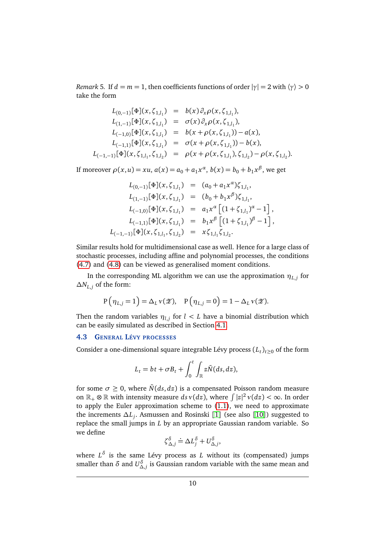*Remark* 5*.* If  $d = m = 1$ , then coefficients functions of order  $|\gamma| = 2$  with  $\langle \gamma \rangle > 0$ take the form

$$
L_{(0,-1)}[\Phi](x,\zeta_{1,l_1}) = b(x)\partial_x \rho(x,\zeta_{1,l_1}),
$$
  
\n
$$
L_{(1,-1)}[\Phi](x,\zeta_{1,l_1}) = \sigma(x)\partial_x \rho(x,\zeta_{1,l_1}),
$$
  
\n
$$
L_{(-1,0)}[\Phi](x,\zeta_{1,l_1}) = b(x+\rho(x,\zeta_{1,l_1})) - a(x),
$$
  
\n
$$
L_{(-1,1)}[\Phi](x,\zeta_{1,l_1}) = \sigma(x+\rho(x,\zeta_{1,l_1})) - b(x),
$$
  
\n
$$
L_{(-1,-1)}[\Phi](x,\zeta_{1,l_1},\zeta_{1,l_2}) = \rho(x+\rho(x,\zeta_{1,l_1}),\zeta_{1,l_2}) - \rho(x,\zeta_{1,l_2}).
$$

If moreover  $\rho(x, u) = xu$ ,  $a(x) = a_0 + a_1 x^{\alpha}$ ,  $b(x) = b_0 + b_1 x^{\beta}$ , we get

$$
L_{(0,-1)}[\Phi](x,\zeta_{1,l_1}) = (a_0 + a_1 x^{\alpha})\zeta_{1,l_1},
$$
  
\n
$$
L_{(1,-1)}[\Phi](x,\zeta_{1,l_1}) = (b_0 + b_1 x^{\beta})\zeta_{1,l_1},
$$
  
\n
$$
L_{(-1,0)}[\Phi](x,\zeta_{1,l_1}) = a_1 x^{\alpha} [(1 + \zeta_{1,l_1})^{\alpha} - 1],
$$
  
\n
$$
L_{(-1,1)}[\Phi](x,\zeta_{1,l_1}) = b_1 x^{\beta} [(1 + \zeta_{1,l_1})^{\beta} - 1],
$$
  
\n
$$
L_{(-1,-1)}[\Phi](x,\zeta_{1,l_1},\zeta_{1,l_2}) = x\zeta_{1,l_1}\zeta_{1,l_2}.
$$

Similar results hold for multidimensional case as well. Hence for a large class of stochastic processes, including affine and polynomial processes, the conditions [\(4.7\)](#page-8-0) and [\(4.8\)](#page-8-1) can be viewed as generalised moment conditions.

In the corresponding ML algorithm we can use the approximation  $\eta_{L,j}$  for ∆*NL*,*<sup>j</sup>* of the form:

$$
P(\eta_{L,j}=1) = \Delta_L \nu(\mathscr{Z}), \quad P(\eta_{L,j}=0) = 1 - \Delta_L \nu(\mathscr{Z}).
$$

Then the random variables  $\eta_{l,j}$  for  $l < L$  have a binomial distribution which can be easily simulated as described in Section [4.1.](#page-6-1)

#### **4.3 GENERAL LÉVY PROCESSES**

Consider a one-dimensional square integrable Lévy process  $(L_t)_{t\geq0}$  of the form

$$
L_t = bt + \sigma B_t + \int_0^t \int_{\mathbb{R}} z \tilde{N}(ds, dz),
$$

for some  $\sigma \geq 0$ , where  $\tilde{N}(ds, dz)$  is a compensated Poisson random measure on  $\mathbb{R}_+ \otimes \mathbb{R}$  with intensity measure  $ds v(dz)$ , where  $\int |z|^2 v(dz) < \infty$ . In order to apply the Euler approximation scheme to [\(1.1\)](#page-0-1), we need to approximate the increments ∆*L<sup>j</sup>* . Asmussen and Rosinski [[1](#page-21-3)] (see also [[10](#page-22-9)]) suggested to replace the small jumps in *L* by an appropriate Gaussian random variable. So we define

$$
\zeta_{\Delta,j}^{\delta} \doteq \Delta L_j^{\delta} + U_{\Delta,j}^{\delta},
$$

where *L δ* is the same Lévy process as *L* without its (compensated) jumps smaller than *δ* and  $U^{\delta}_{\Delta,j}$  is Gaussian random variable with the same mean and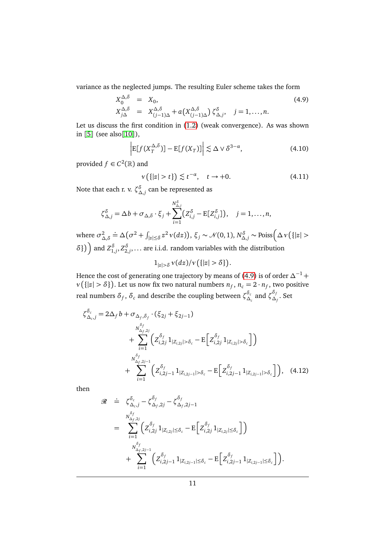variance as the neglected jumps. The resulting Euler scheme takes the form

<span id="page-10-0"></span>
$$
X_0^{\Delta,\delta} = X_0,
$$
  
\n
$$
X_{j\Delta}^{\Delta,\delta} = X_{(j-1)\Delta}^{\Delta,\delta} + a(X_{(j-1)\Delta}^{\Delta,\delta}) \zeta_{\Delta,j}^{\delta}, \quad j = 1, ..., n.
$$
\n(4.9)

Let us discuss the first condition in [\(1.2\)](#page-1-0) (weak convergence). As was shown in [[5](#page-22-11)] (see also [[10](#page-22-9)]),

<span id="page-10-2"></span>
$$
\left| \mathbb{E}[f(X_T^{\Delta,\delta})] - \mathbb{E}[f(X_T)] \right| \lesssim \Delta \vee \delta^{3-\alpha},\tag{4.10}
$$

provided  $f \in C^2(\mathbb{R})$  and

<span id="page-10-1"></span>
$$
\nu\left(\{|z| > t\}\right) \lesssim t^{-\alpha}, \quad t \to +0. \tag{4.11}
$$

Note that each r. v.  $\zeta^{\delta}_{\Delta, j}$  can be represented as

$$
\zeta_{\Delta,j}^{\delta} = \Delta b + \sigma_{\Delta,\delta} \cdot \xi_j + \sum_{i=1}^{N_{\Delta,j}^{\delta}} \left( Z_{i,j}^{\delta} - \mathbb{E}[Z_{i,j}^{\delta}]\right), \quad j = 1,\ldots,n,
$$

where  $\sigma^2$ <sub>*/*</sub> ∆,*δ*  $\dot{=}\Delta(\sigma^2+\int_{|z|\leq \delta}z^2v(dz)), \xi_j\sim\mathcal{N}(0,1), N_{\Delta,j}^{\delta}\sim \text{Poiss}\bigg(\Delta v({\{|z|>$  $\delta$ }) and  $Z_{1,j}^{\delta}, Z_{2,j}^{\delta}, \ldots$  are i.i.d. random variables with the distribution

<span id="page-10-3"></span>
$$
1_{|z| > \delta} \nu(dz) / \nu\big(\{|z| > \delta\}\big).
$$

Hence the cost of generating one trajectory by means of [\(4.9\)](#page-10-0) is of order  $\Delta^{-1}$  +  $\nu$  ({|z| >  $\delta$ }). Let us now fix two natural numbers  $n_f$ ,  $n_c = 2 \cdot n_f$ , two positive real numbers  $\delta_f$ ,  $\delta_c$  and describe the coupling between  $\zeta^{\delta_c}_\Delta$  $\delta_c$  and  $\zeta_{\Delta}^{\delta_j}$  $\frac{\Delta_f}{\Delta_f}$ . Set

$$
\zeta_{\Delta_c,j}^{\delta_c} = 2\Delta_f b + \sigma_{\Delta_f,\delta_f} \cdot (\xi_{2j} + \xi_{2j-1})
$$
  
+ 
$$
\sum_{i=1}^{N_{\Delta_f,2j}^{\delta_f}} \left( Z_{i,2j}^{\delta_f} 1_{|Z_{i,2j}| > \delta_c} - \mathbb{E} \left[ Z_{i,2j}^{\delta_f} 1_{|Z_{i,2j}| > \delta_c} \right] \right)
$$
  
+ 
$$
\sum_{i=1}^{N_{\Delta_f,2j-1}^{\delta_f}} \left( Z_{i,2j-1}^{\delta_f} 1_{|Z_{i,2j-1}| > \delta_c} - \mathbb{E} \left[ Z_{i,2j-1}^{\delta_f} 1_{|Z_{i,2j-1}| > \delta_c} \right] \right), \quad (4.12)
$$

then

$$
\mathcal{R} \doteq \zeta_{\Delta_{c},j}^{\delta_{c}} - \zeta_{\Delta_{f},2j}^{\delta_{f}} - \zeta_{\Delta_{f},2j-1}^{\delta_{f}} \n= \sum_{i=1}^{N_{\Delta_{f},2j}^{\delta_{f}}} \left( z_{i,2j}^{\delta_{f}} 1_{|Z_{i,2j}| \le \delta_{c}} - \mathbb{E} \left[ z_{i,2j}^{\delta_{f}} 1_{|Z_{i,2j}| \le \delta_{c}} \right] \right) \n+ \sum_{i=1}^{N_{\Delta_{f},2j-1}^{\delta_{f}}} \left( z_{i,2j-1}^{\delta_{f}} 1_{|Z_{i,2j-1}| \le \delta_{c}} - \mathbb{E} \left[ z_{i,2j-1}^{\delta_{f}} 1_{|Z_{i,2j-1}| \le \delta_{c}} \right] \right).
$$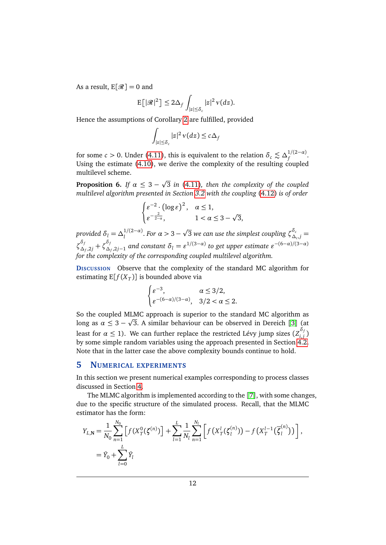As a result,  $E[\mathcal{R}] = 0$  and

$$
\mathbb{E}\big[|\mathcal{R}|^2\big] \leq 2\Delta_f \int_{|z| \leq \delta_c} |z|^2 \, \nu(dz).
$$

Hence the assumptions of Corollary [2](#page-4-1) are fulfilled, provided

$$
\int_{|z| \le \delta_c} |z|^2 \, v(dz) \le c\,\Delta_f
$$

for some *c* > 0. Under [\(4.11\)](#page-10-1), this is equivalent to the relation  $\delta_c \lesssim \Delta_f^{1/(2-\alpha)}$ *f* . Using the estimate [\(4.10\)](#page-10-2), we derive the complexity of the resulting coupled multilevel scheme. p

<span id="page-11-0"></span>**Proposition 6.** *If*  $\alpha \leq 3$  – 3 *in* [\(4.11\)](#page-10-1)*, then the complexity of the coupled multilevel algorithm presented in Section [3.2](#page-5-2) with the coupling* [\(4.12\)](#page-10-3) *is of order*

$$
\begin{cases} \varepsilon^{-2} \cdot (\log \varepsilon)^2, & \alpha \le 1, \\ \varepsilon^{-\frac{2}{2-\alpha}}, & 1 < \alpha \le 3 - \sqrt{3}, \end{cases}
$$

*provided*  $\delta_l = \Delta_l^{1/(2-\alpha)}$ . *For*  $\alpha > 3$  – p  $\overline{3}$  we can use the simplest coupling  $\zeta^{\delta_c}_\Delta$  $\Delta_c^c$ , *j* = *ζ δf*  $\delta_{f}$ <sub> $\Delta_{f}$ </sub>,2*j* +  $\zeta_{\Delta}^{\delta}$  $\frac{\delta_f}{\Delta_f, 2j-1}$  and constant  $\delta_l = \varepsilon^{1/(3-\alpha)}$  to get upper estimate  $\varepsilon^{-(6-\alpha)/(3-\alpha)}$ *for the complexity of the corresponding coupled multilevel algorithm.*

**DISCUSSION** Observe that the complexity of the standard MC algorithm for estimating  $E[f(X_T)]$  is bounded above via

$$
\begin{cases} \varepsilon^{-3}, & \alpha \le 3/2, \\ \varepsilon^{-(6-\alpha)/(3-\alpha)}, & 3/2 < \alpha \le 2. \end{cases}
$$

So the coupled MLMC approach is superior to the standard MC algorithm as p long as  $\alpha \leq 3 - \sqrt{3}$  $\alpha \leq 3 - \sqrt{3}$  $\alpha \leq 3 - \sqrt{3}$ . A similar behaviour can be observed in Dereich [3] (at least for  $\alpha \leq 1$ ). We can further replace the restricted Lévy jump sizes  $(Z_{i,j}^{\delta_j})$ *i*,*j* ) by some simple random variables using the approach presented in Section [4.2.](#page-7-1) Note that in the latter case the above complexity bounds continue to hold.

## **5 NUMERICAL EXPERIMENTS**

In this section we present numerical examples corresponding to process classes discussed in Section [4.](#page-6-2)

The MLMC algorithm is implemented according to the [[7](#page-22-0)], with some changes, due to the specific structure of the simulated process. Recall, that the MLMC estimator has the form:

$$
Y_{L,N} = \frac{1}{N_0} \sum_{n=1}^{N_0} \left[ f(X_T^0(\zeta^{(n)}) \right] + \sum_{l=1}^L \frac{1}{N_l} \sum_{n=1}^{N_l} \left[ f(X_T^l(\zeta_l^{(n)})) - f(X_T^{l-1}(\overline{\zeta}_l^{(n)})) \right],
$$
  
=  $\hat{Y}_0 + \sum_{l=0}^L \hat{Y}_l$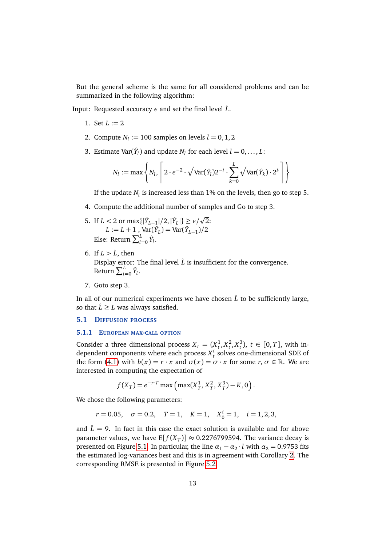But the general scheme is the same for all considered problems and can be summarized in the following algorithm:

Input: Requested accuracy  $\epsilon$  and set the final level  $\hat{L}$ .

- 1. Set  $L := 2$
- 2. Compute  $N_l := 100$  samples on levels  $l = 0, 1, 2$
- 3. Estimate  $Var(\hat{Y}_l)$  and update  $N_l$  for each level  $l = 0, \ldots, L$ :

$$
N_l := \max \left\{ N_l, \left\lceil 2 \cdot e^{-2} \cdot \sqrt{\text{Var}(\hat{Y}_l) 2^{-l}} \cdot \sum_{k=0}^{L} \sqrt{\text{Var}(\hat{Y}_k) \cdot 2^k} \right\rceil \right\}
$$

If the update  $N_l$  is increased less than 1% on the levels, then go to step 5.

- 4. Compute the additional number of samples and Go to step 3.
- 5. If  $L < 2$  or  $\max\{|\hat{Y}_{L-1}|/2, |\hat{Y}_{L}|\} \ge \epsilon/\sqrt{2}$ :  $L := L + 1$ ,  $Var(\hat{Y}_L) = Var(\hat{Y}_{L-1})/2$ Else: Return  $\sum_{l=0}^{L} \hat{Y}_l$ .
- 6. If  $L > \hat{L}$ , then Display error: The final level  $\hat{L}$  is insufficient for the convergence. Return  $\sum_{l=0}^{L} \hat{Y}_l$ .
- 7. Goto step 3.

In all of our numerical experiments we have chosen  $\hat{L}$  to be sufficiently large, so that  $\hat{L} \geq L$  was always satisfied.

#### **5.1 DIFFUSION PROCESS**

#### **5.1.1 EUROPEAN MAX-CALL OPTION**

Consider a three dimensional process  $X_t = (X_t^1, X_t^2, X_t^3)$ ,  $t \in [0, T]$ , with independent components where each process  $X_t^i$  solves one-dimensional SDE of the form [\(4.1\)](#page-6-3) with  $b(x) = r \cdot x$  and  $\sigma(x) = \sigma \cdot x$  for some  $r, \sigma \in \mathbb{R}$ . We are interested in computing the expectation of

$$
f(X_T) = e^{-r \cdot T} \max \left( \max(X_T^1, X_T^2, X_T^3) - K, 0 \right).
$$

We chose the following parameters:

 $r = 0.05$ ,  $\sigma = 0.2$ ,  $T = 1$ ,  $K = 1$ ,  $X_0^i = 1$ ,  $i = 1, 2, 3$ ,

and  $\hat{L} = 9$ . In fact in this case the exact solution is available and for above parameter values, we have  $E[f(X_T)] \approx 0.2276799594$ . The variance decay is presented on Figure [5.1.](#page-13-0) In particular, the line  $\alpha_1 - \alpha_2 \cdot l$  with  $\alpha_2 = 0.9753$  fits the estimated log-variances best and this is in agreement with Corollary [2.](#page-4-1) The corresponding RMSE is presented in Figure [5.2.](#page-13-1)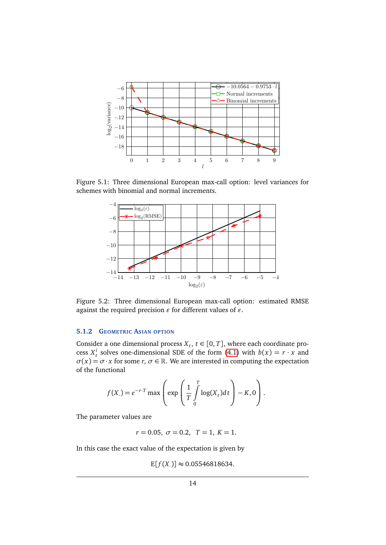

Figure 5.1: Three dimensional European max-call option: level variances for schemes with binomial and normal increments.

<span id="page-13-0"></span>

<span id="page-13-1"></span>Figure 5.2: Three dimensional European max-call option: estimated RMSE against the required precision  $\varepsilon$  for different values of  $\varepsilon$ .

# **5.1.2 GEOMETRIC ASIAN OPTION**

Consider a one dimensional process  $X_t$ ,  $t \in [0, T]$ , where each coordinate process  $X_t^i$  solves one-dimensional SDE of the form [\(4.1\)](#page-6-3) with  $b(x) = r \cdot x$  and  $\sigma(x) = \sigma \cdot x$  for some *r*,  $\sigma \in \mathbb{R}$ . We are interested in computing the expectation of the functional

$$
f(X_{\cdot}) = e^{-r \cdot T} \max \left( \exp \left( \frac{1}{T} \int_{0}^{T} \log(X_{t}) dt \right) - K, 0 \right).
$$

The parameter values are

 $r = 0.05, \ \sigma = 0.2, \ \ T = 1, \ K = 1.$ 

In this case the exact value of the expectation is given by

 $E[f(X)] \approx 0.05546818634.$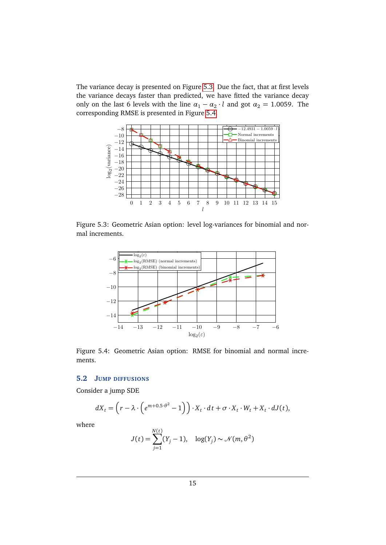The variance decay is presented on Figure [5.3.](#page-14-0) Due the fact, that at first levels the variance decays faster than predicted, we have fitted the variance decay only on the last 6 levels with the line  $\alpha_1 - \alpha_2 \cdot l$  and got  $\alpha_2 = 1.0059$ . The corresponding RMSE is presented in Figure [5.4.](#page-14-1)



Figure 5.3: Geometric Asian option: level log-variances for binomial and normal increments.

<span id="page-14-0"></span>

<span id="page-14-1"></span>Figure 5.4: Geometric Asian option: RMSE for binomial and normal increments.

# **5.2 JUMP DIFFUSIONS**

Consider a jump SDE

$$
dX_t = \left(r - \lambda \cdot \left(e^{m+0.5 \cdot \theta^2} - 1\right)\right) \cdot X_t \cdot dt + \sigma \cdot X_t \cdot W_t + X_t \cdot dJ(t),
$$

where

$$
J(t) = \sum_{j=1}^{N(t)} (Y_j - 1), \quad \log(Y_j) \sim \mathcal{N}(m, \theta^2)
$$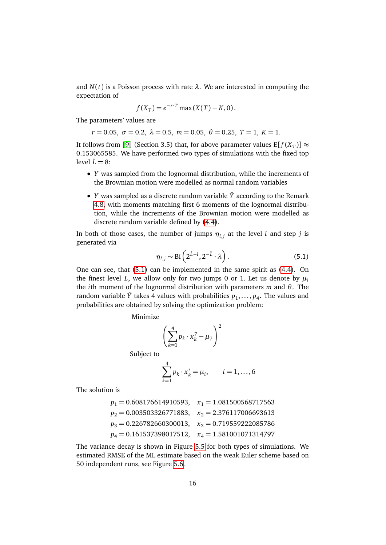and  $N(t)$  is a Poisson process with rate  $\lambda$ . We are interested in computing the expectation of

$$
f(X_T) = e^{-r \cdot T} \max(X(T) - K, 0).
$$

The parameters' values are

$$
r = 0.05
$$
,  $\sigma = 0.2$ ,  $\lambda = 0.5$ ,  $m = 0.05$ ,  $\theta = 0.25$ ,  $T = 1$ ,  $K = 1$ .

It follows from [[9](#page-22-12)] (Section 3.5) that, for above parameter values  $E[f(X_T)] \approx$ 0.153065585. We have performed two types of simulations with the fixed top level  $\hat{L} = 8$ :

- *Y* was sampled from the lognormal distribution, while the increments of the Brownian motion were modelled as normal random variables
- *Y* was sampled as a discrete random variable *Y*ˆ according to the Remark [4.8,](#page-8-1) with moments matching first 6 moments of the lognormal distribution, while the increments of the Brownian motion were modelled as discrete random variable defined by [\(4.4\)](#page-6-4).

In both of those cases, the number of jumps  $\eta_{l,j}$  at the level *l* and step *j* is generated via

<span id="page-15-0"></span>
$$
\eta_{l,j} \sim \text{Bi}\left(2^{\hat{L}-l}, 2^{-\hat{L}} \cdot \lambda\right). \tag{5.1}
$$

One can see, that [\(5.1\)](#page-15-0) can be implemented in the same spirit as [\(4.4\)](#page-6-4). On the finest level *L*, we allow only for two jumps 0 or 1. Let us denote by  $\mu_i$ the *i*th moment of the lognormal distribution with parameters *m* and *θ*. The random variable  $\hat{Y}$  takes 4 values with probabilities  $p_1, \ldots, p_4$ . The values and probabilities are obtained by solving the optimization problem:

Minimize

$$
\left(\sum_{k=1}^4 p_k \cdot x_k^7 - \mu_7\right)^2
$$

Subject to

$$
\sum_{k=1}^{4} p_k \cdot x_k^i = \mu_i, \qquad i = 1, ..., 6
$$

The solution is

$$
\begin{aligned} p_1&=0.608176614910593, & x_1&=1.081500568717563 \\ p_2&=0.003503326771883, & x_2&=2.376117006693613 \\ p_3&=0.226782660300013, & x_3&=0.719559222085786 \\ p_4&=0.161537398017512, & x_4&=1.581001071314797 \end{aligned}
$$

The variance decay is shown in Figure [5.5](#page-16-0) for both types of simulations. We estimated RMSE of the ML estimate based on the weak Euler scheme based on 50 independent runs, see Figure [5.6.](#page-17-0)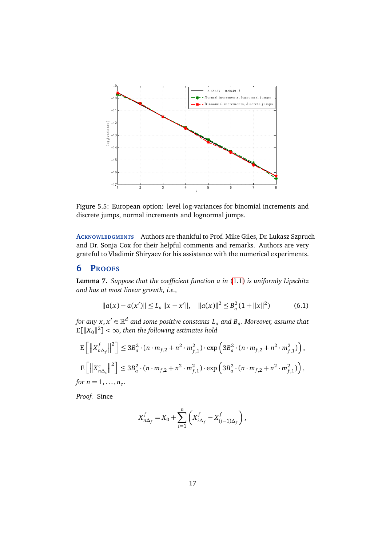

<span id="page-16-0"></span>Figure 5.5: European option: level log-variances for binomial increments and discrete jumps, normal increments and lognormal jumps.

**ACKNOWLEDGMENTS** Authors are thankful to Prof. Mike Giles, Dr. Lukasz Szpruch and Dr. Sonja Cox for their helpful comments and remarks. Authors are very grateful to Vladimir Shiryaev for his assistance with the numerical experiments.

# **6 PROOFS**

<span id="page-16-1"></span>**Lemma 7.** *Suppose that the coefficient function a in* [\(1.1\)](#page-0-1) *is uniformly Lipschitz and has at most linear growth, i.e.,*

$$
||a(x) - a(x')|| \le L_a ||x - x'||, \quad ||a(x)||^2 \le B_a^2 (1 + ||x||^2)
$$
 (6.1)

for any  $x, x' \in \mathbb{R}^d$  and some positive constants  $L_a$  and  $B_a.$  Moreover, assume that  $\mathbb{E}[||X_0||^2] < \infty$ , then the following estimates hold

$$
\begin{aligned} & \mathbb{E}\left[\left\|X_{n\Delta_{f}}^{f}\right\|^{2}\right] \leq 3B_{a}^{2} \cdot (n \cdot m_{f,2} + n^{2} \cdot m_{f,1}^{2}) \cdot \exp\left(3B_{a}^{2} \cdot (n \cdot m_{f,2} + n^{2} \cdot m_{f,1}^{2})\right), \\ & \mathbb{E}\left[\left\|X_{n\Delta_{c}}^{c}\right\|^{2}\right] \leq 3B_{a}^{2} \cdot (n \cdot m_{f,2} + n^{2} \cdot m_{f,1}^{2}) \cdot \exp\left(3B_{a}^{2} \cdot (n \cdot m_{f,2} + n^{2} \cdot m_{f,1}^{2})\right), \end{aligned}
$$

for  $n = 1, \ldots, n_c$ .

*Proof.* Since

$$
X_{n\Delta_f}^f = X_0 + \sum_{i=1}^n \left( X_{i\Delta_f}^f - X_{(i-1)\Delta_f}^f \right),
$$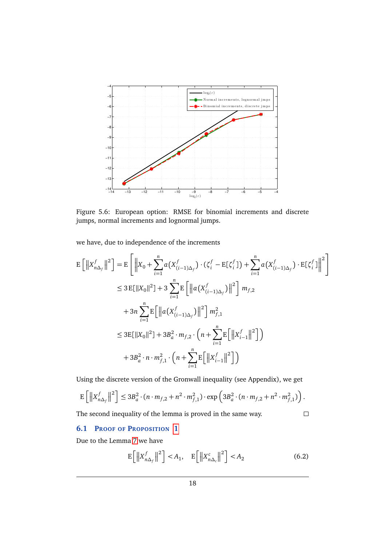

<span id="page-17-0"></span>Figure 5.6: European option: RMSE for binomial increments and discrete jumps, normal increments and lognormal jumps.

we have, due to independence of the increments

$$
E\left[\left\|X_{n\Delta_{f}}^{f}\right\|^{2}\right] = E\left[\left\|X_{0} + \sum_{i=1}^{n} a\left(X_{(i-1)\Delta_{f}}^{f}\right) \cdot (\zeta_{i}^{f} - E[\zeta_{i}^{f}]) + \sum_{i=1}^{n} a\left(X_{(i-1)\Delta_{f}}^{f}\right) \cdot E[\zeta_{i}^{f}]\right\|^{2}\right]
$$
  
\n
$$
\leq 3 E[\|X_{0}\|^{2}] + 3 \sum_{i=1}^{n} E\left[\left\|a\left(X_{(i-1)\Delta_{f}}^{f}\right)\right\|^{2}\right] m_{f,2}
$$
  
\n
$$
+ 3n \sum_{i=1}^{n} E\left[\left\|a\left(X_{(i-1)\Delta_{f}}^{f}\right)\right\|^{2}\right] m_{f,1}^{2}
$$
  
\n
$$
\leq 3 E[\|X_{0}\|^{2}] + 3B_{a}^{2} \cdot m_{f,2} \cdot \left(n + \sum_{i=1}^{n} E\left[\left\|X_{i-1}^{f}\right\|^{2}\right]\right)
$$
  
\n
$$
+ 3B_{a}^{2} \cdot n \cdot m_{f,1}^{2} \cdot \left(n + \sum_{i=1}^{n} E\left[\left\|X_{i-1}^{f}\right\|^{2}\right]\right)
$$

Using the discrete version of the Gronwall inequality (see Appendix), we get

$$
\mathbb{E}\left[\left\|X_{n\Delta_f}^f\right\|^2\right] \le 3B_a^2 \cdot (n \cdot m_{f,2} + n^2 \cdot m_{f,1}^2) \cdot \exp\left(3B_a^2 \cdot (n \cdot m_{f,2} + n^2 \cdot m_{f,1}^2)\right).
$$

The second inequality of the lemma is proved in the same way.

# $\Box$

## **6.1 PROOF OF PROPOSITION [1](#page-4-2)**

Due to the Lemma [7](#page-16-1) we have

$$
\mathbb{E}\left[\left\|X_{n\Delta_{f}}^f\right\|^2\right] < A_1, \quad \mathbb{E}\left[\left\|X_{n\Delta_{c}}^c\right\|^2\right] < A_2 \tag{6.2}
$$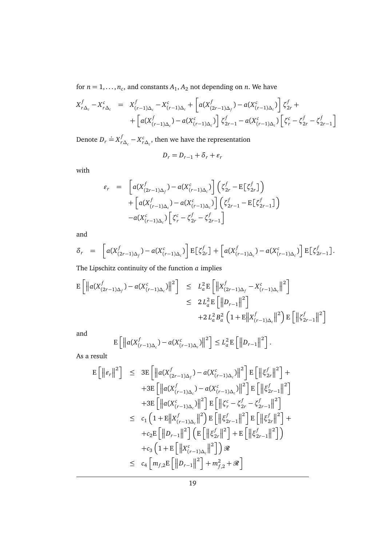for  $n = 1, \ldots, n_c$ , and constants  $A_1, A_2$  not depending on *n*. We have

$$
X_{r\Delta_c}^f - X_{r\Delta_c}^c = X_{(r-1)\Delta_c}^f - X_{(r-1)\Delta_c}^c + \left[ a(X_{(2r-1)\Delta_f}^f) - a(X_{(r-1)\Delta_c}^c) \right] \zeta_{2r}^f + + \left[ a(X_{(r-1)\Delta_c}^f) - a(X_{(r-1)\Delta_c}^c) \right] \zeta_{2r-1}^f - a(X_{(r-1)\Delta_c}^c) \left[ \zeta_r^c - \zeta_{2r}^f - \zeta_{2r-1}^f \right]
$$

Denote  $D_r \doteq X_r^f$  $r_{\Delta_c}^f$  –  $X_{r\Delta_c}^c$ , then we have the representation

$$
D_r = D_{r-1} + \delta_r + \varepsilon_r
$$

with

$$
\varepsilon_r = \left[ a(X_{(2r-1)\Delta_f}^f) - a(X_{(r-1)\Delta_c}^c) \right] \left( \zeta_{2r}^f - \mathbb{E} \left[ \zeta_{2r}^f \right] \right)
$$

$$
+ \left[ a(X_{(r-1)\Delta_c}^f) - a(X_{(r-1)\Delta_c}^c) \right] \left( \zeta_{2r-1}^f - \mathbb{E} \left[ \zeta_{2r-1}^f \right] \right)
$$

$$
-a(X_{(r-1)\Delta_c}^c) \left[ \zeta_r^c - \zeta_{2r}^f - \zeta_{2r-1}^f \right]
$$

and

$$
\delta_r = \left[ a(X_{(2r-1)\Delta_f}^f) - a(X_{(r-1)\Delta_c}^c) \right] \mathbb{E} \big[ \zeta_{2r}^f \big] + \left[ a(X_{(r-1)\Delta_c}^f) - a(X_{(r-1)\Delta_c}^c) \right] \mathbb{E} \big[ \zeta_{2r-1}^f \big].
$$

The Lipschitz continuity of the function *a* implies

$$
\mathbb{E}\left[\left\|a(X_{(2r-1)\Delta_{f}}^{f}) - a(X_{(r-1)\Delta_{c}}^{c})\right\|^{2}\right] \leq L_{a}^{2}\mathbb{E}\left[\left\|X_{(2r-1)\Delta_{f}}^{f} - X_{(r-1)\Delta_{c}}^{c}\right\|^{2}\right] \leq 2L_{a}^{2}\mathbb{E}\left[\left\|D_{r-1}\right\|^{2}\right] + 2L_{a}^{2}B_{a}^{2}\left(1 + \mathbb{E}\left\|X_{(r-1)\Delta_{c}}^{f}\right\|^{2}\right)\mathbb{E}\left[\left\|\zeta_{2r-1}^{f}\right\|^{2}\right]
$$

and

$$
\mathbb{E}\left[\left\|a(X_{(r-1)\Delta_c}^f)-a(X_{(r-1)\Delta_c}^c)\right\|^2\right]\leq L_a^2\mathbb{E}\left[\left\|D_{r-1}\right\|^2\right].
$$

As a result

$$
E\left[\left\| \varepsilon_{r} \right\|^{2}\right] \leq 3E\left[\left\| a(X_{(2r-1)\Delta_{f}}^{f}) - a(X_{(r-1)\Delta_{c}}^{c}) \right\|^{2}\right]E\left[\left\| \xi_{2r}^{f} \right\|^{2}\right] ++3E\left[\left\| a(X_{(r-1)\Delta_{c}}^{f}) - a(X_{(r-1)\Delta_{c}}^{c}) \right\|^{2}\right]E\left[\left\| \xi_{2r-1}^{f} \right\|^{2}\right] +3E\left[\left\| a(X_{(r-1)\Delta_{c}}^{c}) \right\|^{2}\right]E\left[\left\| \xi_{r}^{c} - \xi_{2r}^{f} - \xi_{2r-1}^{f} \right\|^{2}\right] 
$$
\leq c_{1}\left(1 + E\left\| X_{(r-1)\Delta_{c}}^{f} \right\|^{2}\right)E\left[\left\| \xi_{2r-1}^{f} \right\|^{2}\right]E\left[\left\| \xi_{2r}^{f} \right\|^{2}\right] ++c_{2}E\left[\left\| D_{r-1} \right\|^{2}\right]\left(E\left[\left\| \xi_{2r}^{f} \right\|^{2}\right] + E\left[\left\| \xi_{2r-1}^{f} \right\|^{2}\right]\right) +c_{3}\left(1 + E\left[\left\| X_{(r-1)\Delta_{c}}^{c} \right\|^{2}\right]\right) \mathcal{R} 
$$
\leq c_{4}\left[m_{f,2}E\left[\left\| D_{r-1} \right\|^{2}\right] + m_{f,2}^{2} + \mathcal{R}\right]
$$
$$
$$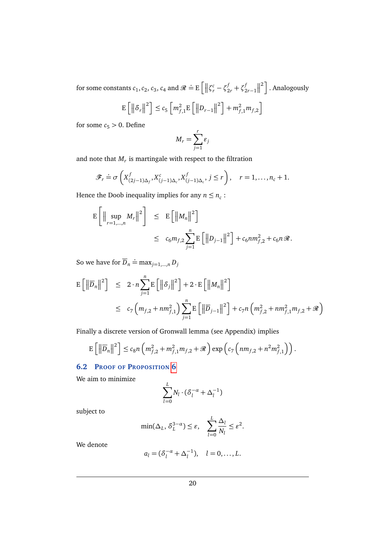for some constants  $c_1$ ,  $c_2$ ,  $c_3$ ,  $c_4$  and  $\mathcal{R} \doteq E\left[ \left\| \zeta_r^c - \zeta_{2r}^f + \zeta_{2r-1}^f \right\| \right]$  $\left\lfloor \frac{2}{2} \right\rfloor$ . Analogously

$$
\mathbb{E}\left[\left\|\delta_{r}\right\|^{2}\right] \leq c_{5}\left[m_{f,1}^{2}\mathbb{E}\left[\left\|D_{r-1}\right\|^{2}\right] + m_{f,1}^{2}m_{f,2}\right]
$$

for some  $c_5 > 0$ . Define

$$
M_r = \sum_{j=1}^r \varepsilon_j
$$

and note that  $M_r$  is martingale with respect to the filtration

$$
\mathscr{F}_r \doteq \sigma\left(X^f_{(2j-1)\Delta_f}, X^c_{(j-1)\Delta_c}, X^f_{(j-1)\Delta_c}, j \leq r\right), \quad r = 1, \ldots, n_c + 1.
$$

Hence the Doob inequality implies for any  $n \leq n_c$ :

$$
\mathbb{E}\left[\left\|\sup_{r=1,\dots,n} M_r\right\|^2\right] \leq \mathbb{E}\left[\left\|M_n\right\|^2\right] \n\leq c_6 m_{f,2} \sum_{j=1}^n \mathbb{E}\left[\left\|D_{j-1}\right\|^2\right] + c_6 n m_{f,2}^2 + c_6 n \mathcal{R}.
$$

So we have for  $\overline{D}_n \doteq \max_{j=1,\dots,n} D_j$ 

$$
E\left[\left\|\overline{D}_{n}\right\|^{2}\right] \leq 2 \cdot n \sum_{j=1}^{n} E\left[\left\|\delta_{j}\right\|^{2}\right] + 2 \cdot E\left[\left\|M_{n}\right\|^{2}\right]
$$
  

$$
\leq c_{7} \left(m_{f,2} + nm_{f,1}^{2}\right) \sum_{j=1}^{n} E\left[\left\|\overline{D}_{j-1}\right\|^{2}\right] + c_{7} n \left(m_{f,2}^{2} + nm_{f,1}^{2} m_{f,2} + \mathcal{R}\right)
$$

Finally a discrete version of Gronwall lemma (see Appendix) implies

$$
\mathbb{E}\left[\left\|\overline{D}_n\right\|^2\right] \leq c_8 n \left(m_{f,2}^2 + m_{f,1}^2 m_{f,2} + \mathcal{R}\right) \exp\left(c_7\left(n m_{f,2} + n^2 m_{f,1}^2\right)\right).
$$

## **6.2 PROOF OF PROPOSITION [6](#page-11-0)**

We aim to minimize

$$
\sum_{l=0}^{L} N_l \cdot (\delta_l^{-\alpha} + \Delta_l^{-1})
$$

subject to

$$
\min(\Delta_L, \, \delta_L^{3-\alpha}) \le \varepsilon, \quad \sum_{l=0}^L \frac{\Delta_l}{N_l} \le \varepsilon^2.
$$

We denote

$$
a_l = (\delta_l^{-\alpha} + \Delta_l^{-1}), \quad l = 0, ..., L.
$$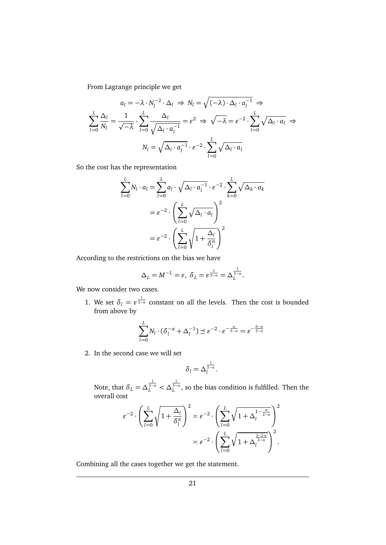From Lagrange principle we get

$$
a_l = -\lambda \cdot N_l^{-2} \cdot \Delta_l \implies N_l = \sqrt{(-\lambda) \cdot \Delta_l \cdot a_l^{-1}} \implies
$$
  

$$
\sum_{l=0}^L \frac{\Delta_l}{N_l} = \frac{1}{\sqrt{-\lambda}} \cdot \sum_{l=0}^L \frac{\Delta_l}{\sqrt{\Delta_l \cdot a_l^{-1}}} = \varepsilon^2 \implies \sqrt{-\lambda} = \varepsilon^{-2} \cdot \sum_{l=0}^L \sqrt{\Delta_l \cdot a_l} \implies
$$
  

$$
N_l = \sqrt{\Delta_l \cdot a_l^{-1}} \cdot \varepsilon^{-2} \cdot \sum_{l=0}^L \sqrt{\Delta_l \cdot a_l}
$$

So the cost has the representation

$$
\sum_{l=0}^{L} N_l \cdot a_l = \sum_{l=0}^{L} a_l \cdot \sqrt{\Delta_l \cdot a_l^{-1}} \cdot \varepsilon^{-2} \cdot \sum_{k=0}^{L} \sqrt{\Delta_k \cdot a_k}
$$

$$
= \varepsilon^{-2} \cdot \left( \sum_{l=0}^{L} \sqrt{\Delta_l \cdot a_l} \right)^2
$$

$$
= \varepsilon^{-2} \cdot \left( \sum_{l=0}^{L} \sqrt{1 + \frac{\Delta_l}{\delta_l^{\alpha}}} \right)^2
$$

According to the restrictions on the bias we have

$$
\Delta_L = M^{-L} = \varepsilon, \ \delta_L = \varepsilon^{\frac{1}{3-a}} = \Delta_L^{\frac{1}{3-a}}.
$$

We now consider two cases.

1. We set  $\delta_l = \varepsilon^{\frac{1}{3-\alpha}}$  constant on all the levels. Then the cost is bounded from above by

$$
\sum_{l=0}^{L} N_l \cdot (\delta_l^{-\alpha} + \Delta_l^{-1}) \preceq \varepsilon^{-2} \cdot \varepsilon^{-\frac{\alpha}{3-\alpha}} = \varepsilon^{-\frac{6-\alpha}{3-\alpha}}
$$

2. In the second case we will set

$$
\delta_l = \Delta_l^{\frac{1}{2-\alpha}}.
$$

Note, that  $\delta_L = \Delta_L^{\frac{1}{2-a}} < \Delta_L^{\frac{1}{3-a}}$ , so the bias condition is fulfilled. Then the overall cost

$$
\varepsilon^{-2} \cdot \left( \sum_{l=0}^{L} \sqrt{1 + \frac{\Delta_l}{\delta_l^{\alpha}}} \right)^2 \asymp \varepsilon^{-2} \cdot \left( \sum_{l=0}^{L} \sqrt{1 + \Delta_l^{1 - \frac{\alpha}{2 - \alpha}}} \right)^2
$$

$$
\asymp \varepsilon^{-2} \cdot \left( \sum_{l=0}^{L} \sqrt{1 + \Delta_l^{\frac{2 - 2\alpha}{2 - \alpha}}} \right)^2.
$$

Combining all the cases together we get the statement.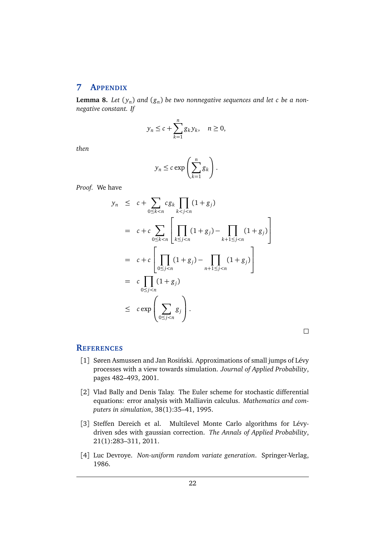# **7 APPENDIX**

**Lemma 8.** Let  $(y_n)$  and  $(g_n)$  be two nonnegative sequences and let  $c$  be a non*negative constant. If*

$$
y_n \leq c + \sum_{k=1}^n g_k y_k, \quad n \geq 0,
$$

*then*

$$
y_n \leq c \exp\left(\sum_{k=1}^n g_k\right).
$$

*Proof.* We have

$$
y_n \leq c + \sum_{0 \leq k < n} c g_k \prod_{k < j < n} (1 + g_j)
$$
\n
$$
= c + c \sum_{0 \leq k < n} \left[ \prod_{k \leq j < n} (1 + g_j) - \prod_{k+1 \leq j < n} (1 + g_j) \right]
$$
\n
$$
= c + c \left[ \prod_{0 \leq j < n} (1 + g_j) - \prod_{n+1 \leq j < n} (1 + g_j) \right]
$$
\n
$$
= c \prod_{0 \leq j < n} (1 + g_j)
$$
\n
$$
\leq c \exp \left( \sum_{0 \leq j < n} g_j \right).
$$

 $\Box$ 

# **REFERENCES**

- <span id="page-21-3"></span>[1] Søren Asmussen and Jan Rosiński. Approximations of small jumps of Lévy processes with a view towards simulation. *Journal of Applied Probability*, pages 482–493, 2001.
- <span id="page-21-0"></span>[2] Vlad Bally and Denis Talay. The Euler scheme for stochastic differential equations: error analysis with Malliavin calculus. *Mathematics and computers in simulation*, 38(1):35–41, 1995.
- <span id="page-21-1"></span>[3] Steffen Dereich et al. Multilevel Monte Carlo algorithms for Lévydriven sdes with gaussian correction. *The Annals of Applied Probability*, 21(1):283–311, 2011.
- <span id="page-21-2"></span>[4] Luc Devroye. *Non-uniform random variate generation*. Springer-Verlag, 1986.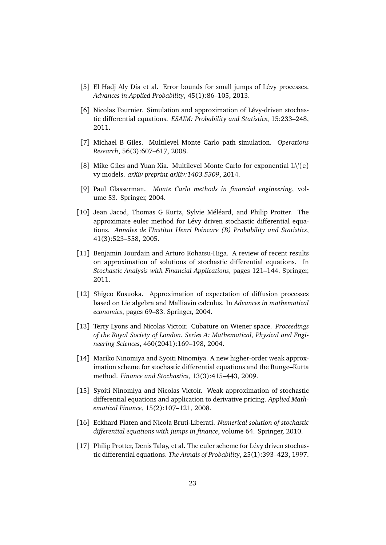- <span id="page-22-11"></span>[5] El Hadj Aly Dia et al. Error bounds for small jumps of Lévy processes. *Advances in Applied Probability*, 45(1):86–105, 2013.
- <span id="page-22-10"></span>[6] Nicolas Fournier. Simulation and approximation of Lévy-driven stochastic differential equations. *ESAIM: Probability and Statistics*, 15:233–248, 2011.
- <span id="page-22-0"></span>[7] Michael B Giles. Multilevel Monte Carlo path simulation. *Operations Research*, 56(3):607–617, 2008.
- <span id="page-22-3"></span>[8] Mike Giles and Yuan Xia. Multilevel Monte Carlo for exponential  $L \backslash \{e\}$ vy models. *arXiv preprint arXiv:1403.5309*, 2014.
- <span id="page-22-12"></span>[9] Paul Glasserman. *Monte Carlo methods in financial engineering*, volume 53. Springer, 2004.
- <span id="page-22-9"></span>[10] Jean Jacod, Thomas G Kurtz, Sylvie Méléard, and Philip Protter. The approximate euler method for Lévy driven stochastic differential equations. *Annales de l'Institut Henri Poincare (B) Probability and Statistics*, 41(3):523–558, 2005.
- <span id="page-22-2"></span>[11] Benjamin Jourdain and Arturo Kohatsu-Higa. A review of recent results on approximation of solutions of stochastic differential equations. In *Stochastic Analysis with Financial Applications*, pages 121–144. Springer, 2011.
- <span id="page-22-4"></span>[12] Shigeo Kusuoka. Approximation of expectation of diffusion processes based on Lie algebra and Malliavin calculus. In *Advances in mathematical economics*, pages 69–83. Springer, 2004.
- <span id="page-22-5"></span>[13] Terry Lyons and Nicolas Victoir. Cubature on Wiener space. *Proceedings of the Royal Society of London. Series A: Mathematical, Physical and Engineering Sciences*, 460(2041):169–198, 2004.
- <span id="page-22-7"></span>[14] Mariko Ninomiya and Syoiti Ninomiya. A new higher-order weak approximation scheme for stochastic differential equations and the Runge–Kutta method. *Finance and Stochastics*, 13(3):415–443, 2009.
- <span id="page-22-6"></span>[15] Syoiti Ninomiya and Nicolas Victoir. Weak approximation of stochastic differential equations and application to derivative pricing. *Applied Mathematical Finance*, 15(2):107–121, 2008.
- <span id="page-22-1"></span>[16] Eckhard Platen and Nicola Bruti-Liberati. *Numerical solution of stochastic differential equations with jumps in finance*, volume 64. Springer, 2010.
- <span id="page-22-8"></span>[17] Philip Protter, Denis Talay, et al. The euler scheme for Lévy driven stochastic differential equations. *The Annals of Probability*, 25(1):393–423, 1997.